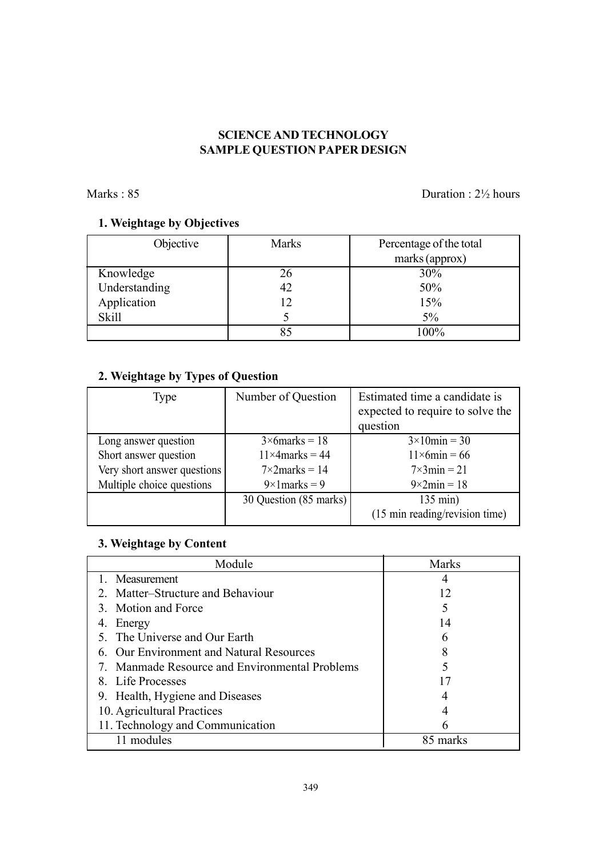## SCIENCE AND TECHNOLOGY SAMPLE QUESTION PAPER DESIGN

Marks : 85 Duration : 2<sup>1</sup>/<sub>2</sub> hours

# 1. Weightage by Objectives

| Objective     | <b>Marks</b> | Percentage of the total |
|---------------|--------------|-------------------------|
|               |              | marks (approx)          |
| Knowledge     | 26           | 30%                     |
| Understanding | 42           | 50%                     |
| Application   | 12           | 15%                     |
| <b>Skill</b>  |              | $5\%$                   |
|               | 85           | 100%                    |

# 2. Weightage by Types of Question

| Type                        | Number of Question      | Estimated time a candidate is<br>expected to require to solve the |  |
|-----------------------------|-------------------------|-------------------------------------------------------------------|--|
|                             |                         | question                                                          |  |
| Long answer question        | $3 \times 6$ marks = 18 | $3\times10$ min = 30                                              |  |
| Short answer question       | $11\times4$ marks = 44  | $11\times 6$ min = 66                                             |  |
| Very short answer questions | $7\times2$ marks = 14   | $7\times 3$ min = 21                                              |  |
| Multiple choice questions   | $9 \times 1$ marks = 9  | $9 \times 2$ min = 18                                             |  |
|                             | 30 Question (85 marks)  | $135 \text{ min}$ )                                               |  |
|                             |                         | (15 min reading/revision time)                                    |  |

# 3. Weightage by Content

| Module                                         | <b>Marks</b> |
|------------------------------------------------|--------------|
| 1. Measurement                                 |              |
| 2. Matter–Structure and Behaviour              | 12           |
| 3. Motion and Force                            |              |
| 4. Energy                                      | 14           |
| 5. The Universe and Our Earth                  | 6            |
| 6. Our Environment and Natural Resources       |              |
| 7. Manmade Resource and Environmental Problems |              |
| 8. Life Processes                              |              |
| 9. Health, Hygiene and Diseases                |              |
| 10. Agricultural Practices                     |              |
| 11. Technology and Communication               |              |
| 11 modules                                     | marks        |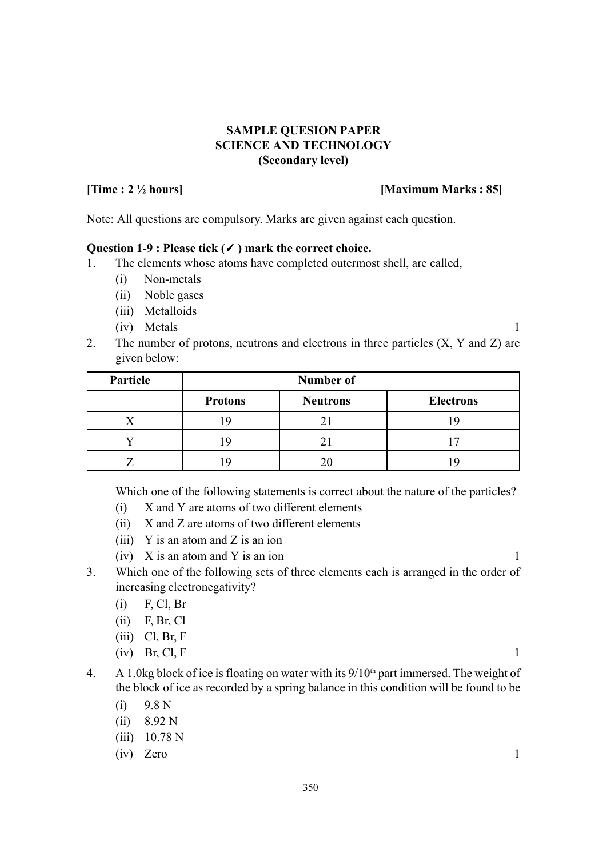## SAMPLE QUESION PAPER SCIENCE AND TECHNOLOGY (Secondary level)

### [Time : 2 ½ hours] [Maximum Marks : 85]

Note: All questions are compulsory. Marks are given against each question.

### Question 1-9 : Please tick (✓) mark the correct choice.

- 1. The elements whose atoms have completed outermost shell, are called,
	- (i) Non-metals
	- (ii) Noble gases
	- (iii) Metalloids
	- (iv) Metals 1
- 2. The number of protons, neutrons and electrons in three particles (X, Y and Z) are given below:

| Particle | <b>Number of</b> |                 |                  |
|----------|------------------|-----------------|------------------|
|          | <b>Protons</b>   | <b>Neutrons</b> | <b>Electrons</b> |
|          |                  |                 |                  |
|          |                  |                 |                  |
|          |                  |                 |                  |

Which one of the following statements is correct about the nature of the particles?

- (i) X and Y are atoms of two different elements
- (ii) X and Z are atoms of two different elements
- (iii) Y is an atom and Z is an ion
- $(iv)$  X is an atom and Y is an ion 1
- 3. Which one of the following sets of three elements each is arranged in the order of increasing electronegativity?
	- (i) F, Cl, Br
	- (ii) F, Br, Cl
	- $(iii)$  Cl, Br, F
	- $(iv)$  Br, Cl, F 1
- 4. A 1.0kg block of ice is floating on water with its  $9/10<sup>th</sup>$  part immersed. The weight of the block of ice as recorded by a spring balance in this condition will be found to be
	- (i) 9.8 N
	- (ii) 8.92 N
	- (iii) 10.78 N
	- $(iv)$  Zero 1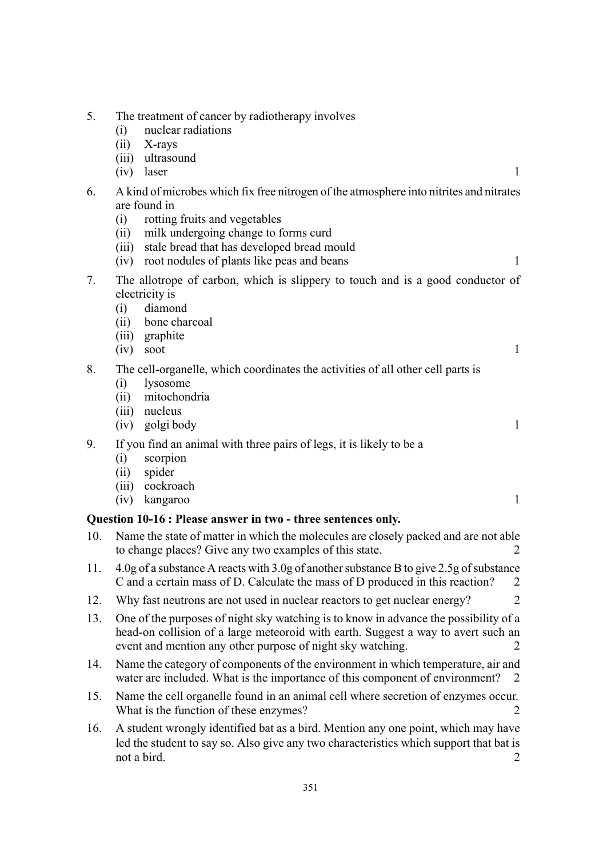| 5.  | The treatment of cancer by radiotherapy involves<br>nuclear radiations<br>(i)<br>(ii)<br>X-rays<br>ultrasound<br>(iii)<br>laser<br>1<br>(iv)                                                                                                                                                                      |  |
|-----|-------------------------------------------------------------------------------------------------------------------------------------------------------------------------------------------------------------------------------------------------------------------------------------------------------------------|--|
| 6.  | A kind of microbes which fix free nitrogen of the atmosphere into nitrites and nitrates<br>are found in<br>rotting fruits and vegetables<br>(i)<br>milk undergoing change to forms curd<br>(ii)<br>stale bread that has developed bread mould<br>(iii)<br>root nodules of plants like peas and beans<br>1<br>(iv) |  |
| 7.  | The allotrope of carbon, which is slippery to touch and is a good conductor of<br>electricity is<br>diamond<br>(i)<br>bone charcoal<br>(ii)<br>(iii) graphite<br>soot<br>$\mathbf{1}$<br>(iv)                                                                                                                     |  |
| 8.  | The cell-organelle, which coordinates the activities of all other cell parts is<br>lysosome<br>(i)<br>mitochondria<br>(ii)<br>nucleus<br>(iii)<br>golgi body<br>$\mathbf{1}$<br>(iv)                                                                                                                              |  |
| 9.  | If you find an animal with three pairs of legs, it is likely to be a<br>scorpion<br>(i)<br>spider<br>(ii)<br>(iii) cockroach<br>$\mathbf{1}$<br>kangaroo<br>(iv)                                                                                                                                                  |  |
|     | Question 10-16 : Please answer in two - three sentences only.                                                                                                                                                                                                                                                     |  |
| 10. | Name the state of matter in which the molecules are closely packed and are not able<br>to change places? Give any two examples of this state.<br>$\overline{2}$                                                                                                                                                   |  |
| 11. | 4.0g of a substance A reacts with 3.0g of another substance B to give 2.5g of substance<br>C and a certain mass of D. Calculate the mass of D produced in this reaction?<br>$\overline{2}$                                                                                                                        |  |
| 12. | Why fast neutrons are not used in nuclear reactors to get nuclear energy?<br>2                                                                                                                                                                                                                                    |  |
| 13. | One of the purposes of night sky watching is to know in advance the possibility of a<br>head-on collision of a large meteoroid with earth. Suggest a way to avert such an<br>event and mention any other purpose of night sky watching.                                                                           |  |
| 14. | Name the category of components of the environment in which temperature, air and<br>water are included. What is the importance of this component of environment?<br>2                                                                                                                                             |  |
|     |                                                                                                                                                                                                                                                                                                                   |  |

- 15. Name the cell organelle found in an animal cell where secretion of enzymes occur. What is the function of these enzymes? 2
- 16. A student wrongly identified bat as a bird. Mention any one point, which may have led the student to say so. Also give any two characteristics which support that bat is not a bird. 2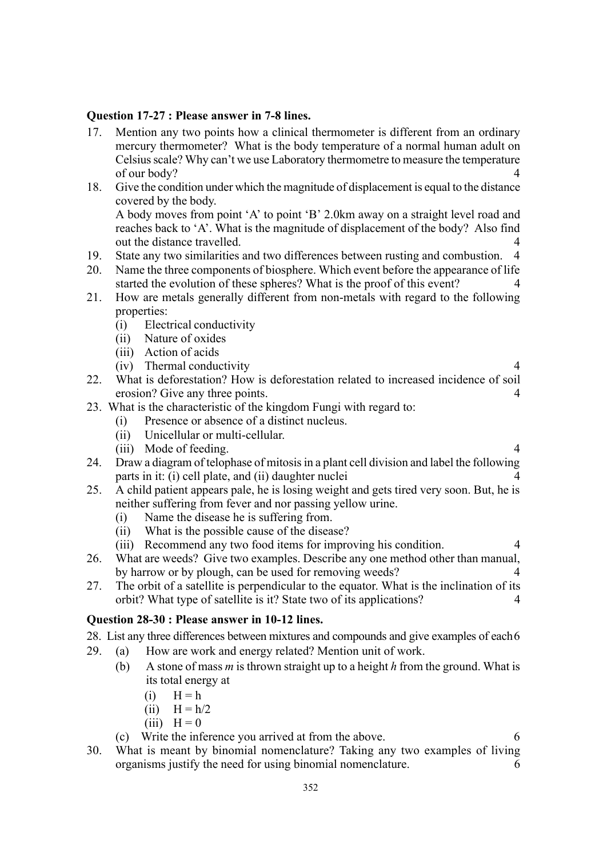#### Question 17-27 : Please answer in 7-8 lines.

- 17. Mention any two points how a clinical thermometer is different from an ordinary mercury thermometer? What is the body temperature of a normal human adult on Celsius scale? Why can't we use Laboratory thermometre to measure the temperature of our body? 4
- 18. Give the condition under which the magnitude of displacement is equal to the distance covered by the body.

A body moves from point 'A' to point 'B' 2.0km away on a straight level road and reaches back to 'A'. What is the magnitude of displacement of the body? Also find out the distance travelled. 4

- 19. State any two similarities and two differences between rusting and combustion. 4
- 20. Name the three components of biosphere. Which event before the appearance of life started the evolution of these spheres? What is the proof of this event? 4
- 21. How are metals generally different from non-metals with regard to the following properties:
	- (i) Electrical conductivity
	- (ii) Nature of oxides
	- (iii) Action of acids
	- (iv) Thermal conductivity 4
- 22. What is deforestation? How is deforestation related to increased incidence of soil erosion? Give any three points. 4
- 23. What is the characteristic of the kingdom Fungi with regard to:
	- (i) Presence or absence of a distinct nucleus.
	- (ii) Unicellular or multi-cellular.
	- (iii) Mode of feeding. 4
- 24. Draw a diagram of telophase of mitosis in a plant cell division and label the following parts in it: (i) cell plate, and (ii) daughter nuclei 4
- 25. A child patient appears pale, he is losing weight and gets tired very soon. But, he is neither suffering from fever and nor passing yellow urine.
	- (i) Name the disease he is suffering from.
	- (ii) What is the possible cause of the disease?
	- (iii) Recommend any two food items for improving his condition. 4
- 26. What are weeds? Give two examples. Describe any one method other than manual, by harrow or by plough, can be used for removing weeds? 4
- 27. The orbit of a satellite is perpendicular to the equator. What is the inclination of its orbit? What type of satellite is it? State two of its applications? 4

#### Question 28-30 : Please answer in 10-12 lines.

28. List any three differences between mixtures and compounds and give examples of each6

- 29. (a) How are work and energy related? Mention unit of work.
	- (b) A stone of mass  $m$  is thrown straight up to a height  $h$  from the ground. What is its total energy at
		- $(i)$   $H = h$
		- (ii)  $H = h/2$
		- $(iii)$  H = 0
	- (c) Write the inference you arrived at from the above. 6

30. What is meant by binomial nomenclature? Taking any two examples of living organisms justify the need for using binomial nomenclature. 6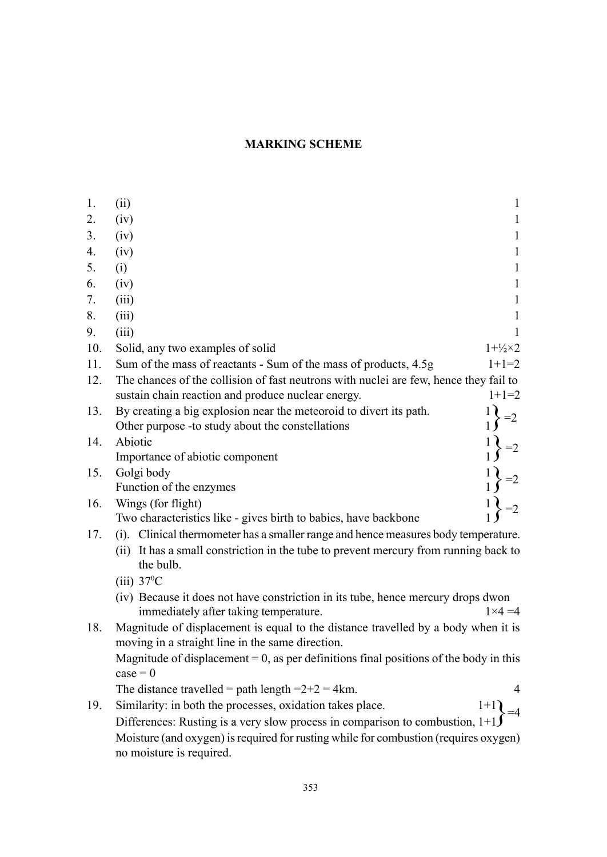# MARKING SCHEME

| 1.  | (ii)<br>1                                                                                                                                     |
|-----|-----------------------------------------------------------------------------------------------------------------------------------------------|
| 2.  | (iv)<br>1                                                                                                                                     |
| 3.  | (iv)<br>1                                                                                                                                     |
| 4.  | (iv)<br>1                                                                                                                                     |
| 5.  | (i)<br>1                                                                                                                                      |
| 6.  | (iv)<br>1                                                                                                                                     |
| 7.  | (iii)<br>1                                                                                                                                    |
| 8.  | (iii)<br>1                                                                                                                                    |
| 9.  | (iii)                                                                                                                                         |
| 10. | $1 + \frac{1}{2} \times 2$<br>Solid, any two examples of solid                                                                                |
| 11. | Sum of the mass of reactants - Sum of the mass of products, 4.5g<br>$1+1=2$                                                                   |
| 12. | The chances of the collision of fast neutrons with nuclei are few, hence they fail to                                                         |
|     | sustain chain reaction and produce nuclear energy.<br>$1+1=2$                                                                                 |
| 13. | By creating a big explosion near the meteoroid to divert its path.<br>Other purpose -to study about the constellations                        |
| 14. | Abiotic                                                                                                                                       |
|     | Importance of abiotic component                                                                                                               |
| 15. | Golgi body                                                                                                                                    |
|     | Function of the enzymes                                                                                                                       |
| 16. | Wings (for flight)                                                                                                                            |
|     | Two characteristics like - gives birth to babies, have backbone                                                                               |
| 17. | (i). Clinical thermometer has a smaller range and hence measures body temperature.                                                            |
|     | (ii) It has a small constriction in the tube to prevent mercury from running back to<br>the bulb.                                             |
|     | $(iii)$ 37 <sup>o</sup> C                                                                                                                     |
|     | (iv) Because it does not have constriction in its tube, hence mercury drops dwon<br>immediately after taking temperature.<br>$1 \times 4 = 4$ |
| 18. | Magnitude of displacement is equal to the distance travelled by a body when it is<br>moving in a straight line in the same direction.         |
|     | Magnitude of displacement = $0$ , as per definitions final positions of the body in this                                                      |
|     | $case = 0$                                                                                                                                    |
|     | The distance travelled = path length = $2+2 = 4$ km.                                                                                          |
| 19. | Similarity: in both the processes, oxidation takes place.<br>$1+1$                                                                            |
|     | Differences: Rusting is a very slow process in comparison to combustion, $1+1$                                                                |
|     | Moisture (and oxygen) is required for rusting while for combustion (requires oxygen)                                                          |

no moisture is required.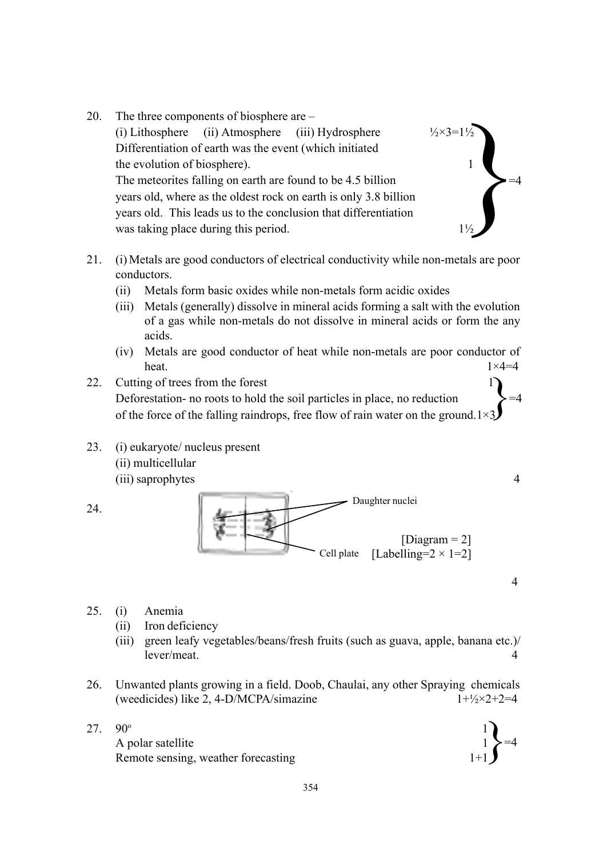- 20. The three components of biosphere are  $-\frac{1}{2}$ (i) Lithosphere (ii) Atmosphere (iii) Hydrosphere  $\frac{1}{2} \times 3 = 1\frac{1}{2}$ Differentiation of earth was the event (which initiated the evolution of biosphere). The meteorites falling on earth are found to be 4.5 billion years old, where as the oldest rock on earth is only 3.8 billion years old. This leads us to the conclusion that differentiation was taking place during this period.  $\left\{\n \begin{array}{c}\n 1^{1/2} \\
1\n \end{array}\n \right\} = 4$
- 21. (i) Metals are good conductors of electrical conductivity while non-metals are poor conductors.
	- (ii) Metals form basic oxides while non-metals form acidic oxides
	- (iii) Metals (generally) dissolve in mineral acids forming a salt with the evolution of a gas while non-metals do not dissolve in mineral acids or form the any acids.
	- (iv) Metals are good conductor of heat while non-metals are poor conductor of heat.  $1 \times 4=4$  $1 \times 4 = 4$
- 22. Cutting of trees from the forest Deforestation- no roots to hold the soil particles in place, no reduction of the force of the falling raindrops, free flow of rain water on the ground.1 $\times$ 3
- 23. (i) eukaryote/ nucleus present (ii) multicellular (iii) saprophytes 4



25. (i) Anemia

24.

- (ii) Iron deficiency
- (iii) green leafy vegetables/beans/fresh fruits (such as guava, apple, banana etc.)/ lever/meat. 4
- 26. Unwanted plants growing in a field. Doob, Chaulai, any other Spraying chemicals (weedicides) like 2, 4-D/MCPA/simazine  $1+\frac{1}{2} \times 2+2=4$
- 27.  $90^{\circ}$  1 A polar satellite 1 Remote sensing, weather forecasting 1+1

$$
\begin{pmatrix}1\\1\\1\end{pmatrix} = 4
$$

4